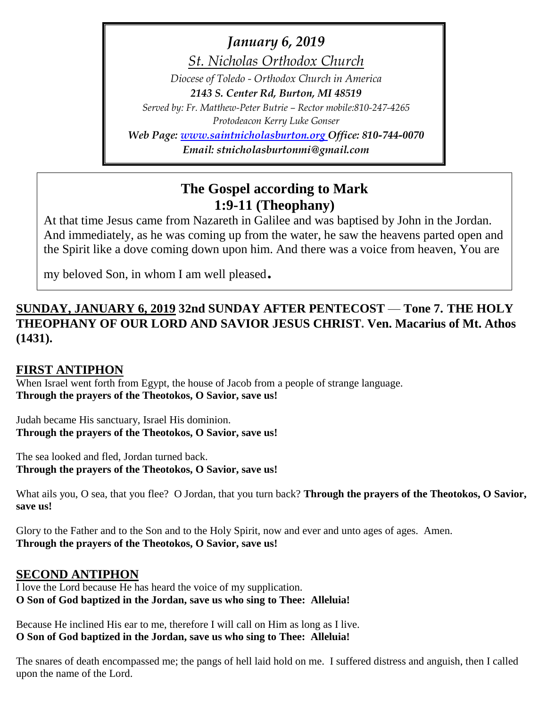*January 6, 2019*

*St. Nicholas Orthodox Church*

*Diocese of Toledo - Orthodox Church in America 2143 S. Center Rd, Burton, MI 48519 Served by: Fr. Matthew-Peter Butrie – Rector mobile:810-247-4265 Protodeacon Kerry Luke Gonser Web Page: [www.saintnicholasburton.org](http://www.saintnicholasburton.org/) Office: 810-744-0070 Email: stnicholasburtonmi@gmail.com*

**The Gospel according to Mark**

# **1:9-11 (Theophany)**

At that time Jesus came from Nazareth in Galilee and was baptised by John in the Jordan. And immediately, as he was coming up from the water, he saw the heavens parted open and the Spirit like a dove coming down upon him. And there was a voice from heaven, You are

my beloved Son, in whom I am well pleased.

## **SUNDAY, JANUARY 6, 2019 32nd SUNDAY AFTER PENTECOST** — **Tone 7. THE HOLY THEOPHANY OF OUR LORD AND SAVIOR JESUS CHRIST. Ven. Macarius of Mt. Athos (1431).**

## **FIRST ANTIPHON**

When Israel went forth from Egypt, the house of Jacob from a people of strange language. **Through the prayers of the Theotokos, O Savior, save us!**

Judah became His sanctuary, Israel His dominion. **Through the prayers of the Theotokos, O Savior, save us!**

The sea looked and fled, Jordan turned back. **Through the prayers of the Theotokos, O Savior, save us!**

What ails you, O sea, that you flee? O Jordan, that you turn back? **Through the prayers of the Theotokos, O Savior, save us!**

Glory to the Father and to the Son and to the Holy Spirit, now and ever and unto ages of ages. Amen. **Through the prayers of the Theotokos, O Savior, save us!**

### **SECOND ANTIPHON**

I love the Lord because He has heard the voice of my supplication. **O Son of God baptized in the Jordan, save us who sing to Thee: Alleluia!**

Because He inclined His ear to me, therefore I will call on Him as long as I live. **O Son of God baptized in the Jordan, save us who sing to Thee: Alleluia!**

The snares of death encompassed me; the pangs of hell laid hold on me. I suffered distress and anguish, then I called upon the name of the Lord.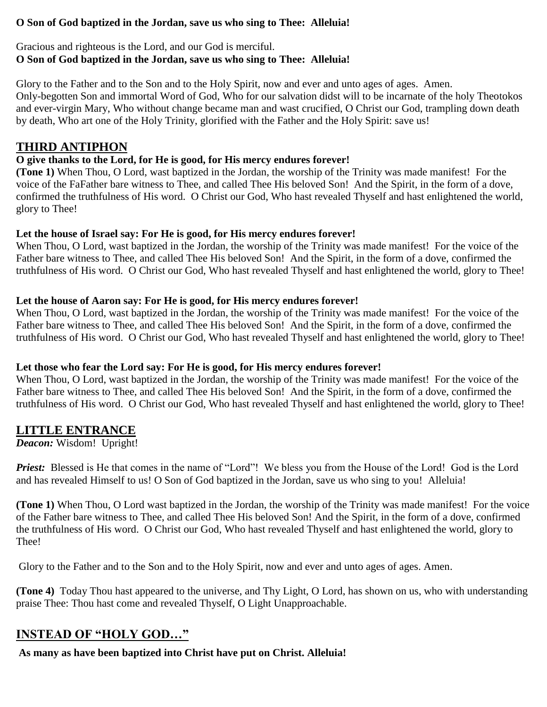#### **O Son of God baptized in the Jordan, save us who sing to Thee: Alleluia!**

### Gracious and righteous is the Lord, and our God is merciful. **O Son of God baptized in the Jordan, save us who sing to Thee: Alleluia!**

Glory to the Father and to the Son and to the Holy Spirit, now and ever and unto ages of ages. Amen. Only-begotten Son and immortal Word of God, Who for our salvation didst will to be incarnate of the holy Theotokos and ever-virgin Mary, Who without change became man and wast crucified, O Christ our God, trampling down death by death, Who art one of the Holy Trinity, glorified with the Father and the Holy Spirit: save us!

## **THIRD ANTIPHON**

## **O give thanks to the Lord, for He is good, for His mercy endures forever!**

**(Tone 1)** When Thou, O Lord, wast baptized in the Jordan, the worship of the Trinity was made manifest! For the voice of the FaFather bare witness to Thee, and called Thee His beloved Son! And the Spirit, in the form of a dove, confirmed the truthfulness of His word. O Christ our God, Who hast revealed Thyself and hast enlightened the world, glory to Thee!

### **Let the house of Israel say: For He is good, for His mercy endures forever!**

When Thou, O Lord, wast baptized in the Jordan, the worship of the Trinity was made manifest! For the voice of the Father bare witness to Thee, and called Thee His beloved Son! And the Spirit, in the form of a dove, confirmed the truthfulness of His word. O Christ our God, Who hast revealed Thyself and hast enlightened the world, glory to Thee!

### **Let the house of Aaron say: For He is good, for His mercy endures forever!**

When Thou, O Lord, wast baptized in the Jordan, the worship of the Trinity was made manifest! For the voice of the Father bare witness to Thee, and called Thee His beloved Son! And the Spirit, in the form of a dove, confirmed the truthfulness of His word. O Christ our God, Who hast revealed Thyself and hast enlightened the world, glory to Thee!

### **Let those who fear the Lord say: For He is good, for His mercy endures forever!**

When Thou, O Lord, wast baptized in the Jordan, the worship of the Trinity was made manifest! For the voice of the Father bare witness to Thee, and called Thee His beloved Son! And the Spirit, in the form of a dove, confirmed the truthfulness of His word. O Christ our God, Who hast revealed Thyself and hast enlightened the world, glory to Thee!

## **LITTLE ENTRANCE**

*Deacon:* Wisdom! Upright!

*Priest:* Blessed is He that comes in the name of "Lord"! We bless you from the House of the Lord! God is the Lord and has revealed Himself to us! O Son of God baptized in the Jordan, save us who sing to you! Alleluia!

**(Tone 1)** When Thou, O Lord wast baptized in the Jordan, the worship of the Trinity was made manifest! For the voice of the Father bare witness to Thee, and called Thee His beloved Son! And the Spirit, in the form of a dove, confirmed the truthfulness of His word. O Christ our God, Who hast revealed Thyself and hast enlightened the world, glory to Thee!

Glory to the Father and to the Son and to the Holy Spirit, now and ever and unto ages of ages. Amen.

**(Tone 4)** Today Thou hast appeared to the universe, and Thy Light, O Lord, has shown on us, who with understanding praise Thee: Thou hast come and revealed Thyself, O Light Unapproachable.

## **INSTEAD OF "HOLY GOD…"**

**As many as have been baptized into Christ have put on Christ. Alleluia!**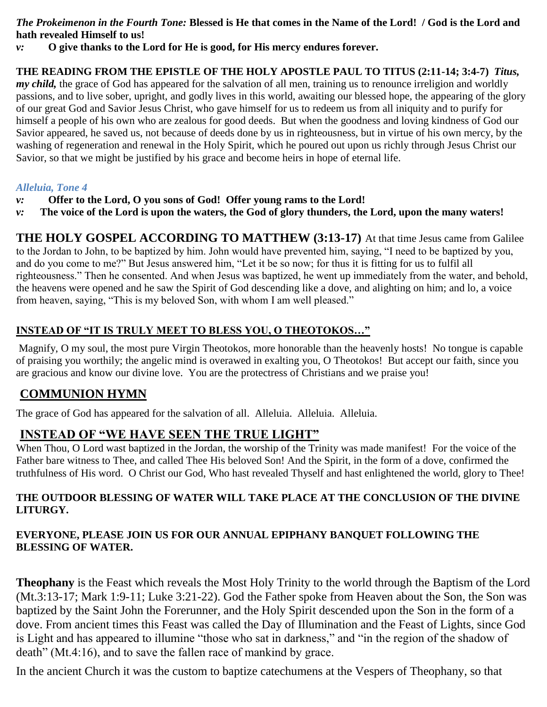#### *The Prokeimenon in the Fourth Tone:* **Blessed is He that comes in the Name of the Lord! / God is the Lord and hath revealed Himself to us!**

*v:* **O give thanks to the Lord for He is good, for His mercy endures forever.**

**THE READING FROM THE EPISTLE OF THE HOLY APOSTLE PAUL TO TITUS (2:11-14; 3:4-7)** *Titus, my child*, the grace of God has appeared for the salvation of all men, training us to renounce irreligion and worldly passions, and to live sober, upright, and godly lives in this world, awaiting our blessed hope, the appearing of the glory of our great God and Savior Jesus Christ, who gave himself for us to redeem us from all iniquity and to purify for himself a people of his own who are zealous for good deeds. But when the goodness and loving kindness of God our Savior appeared, he saved us, not because of deeds done by us in righteousness, but in virtue of his own mercy, by the washing of regeneration and renewal in the Holy Spirit, which he poured out upon us richly through Jesus Christ our Savior, so that we might be justified by his grace and become heirs in hope of eternal life.

#### *Alleluia, Tone 4*

- *v:* **Offer to the Lord, O you sons of God! Offer young rams to the Lord!**
- *v:* **The voice of the Lord is upon the waters, the God of glory thunders, the Lord, upon the many waters!**

**THE HOLY GOSPEL ACCORDING TO MATTHEW (3:13-17)** At that time Jesus came from Galilee to the Jordan to John, to be baptized by him. John would have prevented him, saying, "I need to be baptized by you, and do you come to me?" But Jesus answered him, "Let it be so now; for thus it is fitting for us to fulfil all righteousness." Then he consented. And when Jesus was baptized, he went up immediately from the water, and behold, the heavens were opened and he saw the Spirit of God descending like a dove, and alighting on him; and lo, a voice from heaven, saying, "This is my beloved Son, with whom I am well pleased."

### **INSTEAD OF "IT IS TRULY MEET TO BLESS YOU, O THEOTOKOS…"**

Magnify, O my soul, the most pure Virgin Theotokos, more honorable than the heavenly hosts! No tongue is capable of praising you worthily; the angelic mind is overawed in exalting you, O Theotokos! But accept our faith, since you are gracious and know our divine love. You are the protectress of Christians and we praise you!

## **COMMUNION HYMN**

The grace of God has appeared for the salvation of all. Alleluia. Alleluia. Alleluia.

## **INSTEAD OF "WE HAVE SEEN THE TRUE LIGHT"**

When Thou, O Lord wast baptized in the Jordan, the worship of the Trinity was made manifest! For the voice of the Father bare witness to Thee, and called Thee His beloved Son! And the Spirit, in the form of a dove, confirmed the truthfulness of His word. O Christ our God, Who hast revealed Thyself and hast enlightened the world, glory to Thee!

#### **THE OUTDOOR BLESSING OF WATER WILL TAKE PLACE AT THE CONCLUSION OF THE DIVINE LITURGY.**

### **EVERYONE, PLEASE JOIN US FOR OUR ANNUAL EPIPHANY BANQUET FOLLOWING THE BLESSING OF WATER.**

**Theophany** is the Feast which reveals the Most Holy Trinity to the world through the Baptism of the Lord (Mt.3:13-17; Mark 1:9-11; Luke 3:21-22). God the Father spoke from Heaven about the Son, the Son was baptized by the Saint John the Forerunner, and the Holy Spirit descended upon the Son in the form of a dove. From ancient times this Feast was called the Day of Illumination and the Feast of Lights, since God is Light and has appeared to illumine "those who sat in darkness," and "in the region of the shadow of death" (Mt.4:16), and to save the fallen race of mankind by grace.

In the ancient Church it was the custom to baptize catechumens at the Vespers of Theophany, so that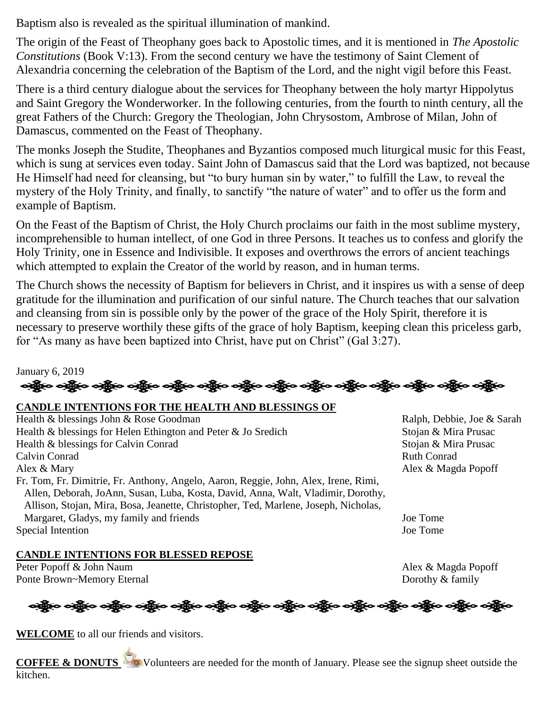Baptism also is revealed as the spiritual illumination of mankind.

The origin of the Feast of Theophany goes back to Apostolic times, and it is mentioned in *The Apostolic Constitutions* (Book V:13). From the second century we have the testimony of Saint Clement of Alexandria concerning the celebration of the Baptism of the Lord, and the night vigil before this Feast.

There is a third century dialogue about the services for Theophany between the holy martyr Hippolytus and Saint Gregory the Wonderworker. In the following centuries, from the fourth to ninth century, all the great Fathers of the Church: Gregory the Theologian, John Chrysostom, Ambrose of Milan, John of Damascus, commented on the Feast of Theophany.

The monks Joseph the Studite, Theophanes and Byzantios composed much liturgical music for this Feast, which is sung at services even today. Saint John of Damascus said that the Lord was baptized, not because He Himself had need for cleansing, but "to bury human sin by water," to fulfill the Law, to reveal the mystery of the Holy Trinity, and finally, to sanctify "the nature of water" and to offer us the form and example of Baptism.

On the Feast of the Baptism of Christ, the Holy Church proclaims our faith in the most sublime mystery, incomprehensible to human intellect, of one God in three Persons. It teaches us to confess and glorify the Holy Trinity, one in Essence and Indivisible. It exposes and overthrows the errors of ancient teachings which attempted to explain the Creator of the world by reason, and in human terms.

The Church shows the necessity of Baptism for believers in Christ, and it inspires us with a sense of deep gratitude for the illumination and purification of our sinful nature. The Church teaches that our salvation and cleansing from sin is possible only by the power of the grace of the Holy Spirit, therefore it is necessary to preserve worthily these gifts of the grace of holy Baptism, keeping clean this priceless garb, for "As many as have been baptized into Christ, have put on Christ" (Gal 3:27).

January 6, 2019 નફ્રીંબ બફ્રીંબ બફ્રીંબ બફ્રીંબ બફ્રીંબ બફ્રીંબ બફ્રીંબ બફ્રીંબ બફ્રીંબ બફ્રીંબ બફ્રીંબ બફ્રીંબ બફ્રીંબ

#### **CANDLE INTENTIONS FOR THE HEALTH AND BLESSINGS OF**

Health & blessings John & Rose Goodman Ralph, Debbie, Joe & Sarah Health & blessings for Helen Ethington and Peter & Jo Sredich Stojan & Mira Prusac Health & blessings for Calvin Conrad Stojan & Mira Prusac Calvin Conrad Ruth Conrad Alex & Mary Alex & Magda Popoff Fr. Tom, Fr. Dimitrie, Fr. Anthony, Angelo, Aaron, Reggie, John, Alex, Irene, Rimi, Allen, Deborah, JoAnn, Susan, Luba, Kosta, David, Anna, Walt, Vladimir, Dorothy, Allison, Stojan, Mira, Bosa, Jeanette, Christopher, Ted, Marlene, Joseph, Nicholas, Margaret, Gladys, my family and friends Joe Tome Special Intention Joe Tome

#### **CANDLE INTENTIONS FOR BLESSED REPOSE**

Peter Popoff & John Naum Alex & Magda Popoff Ponte Brown~Memory Eternal Dorothy & family

ဆို့ပြီးဝ သို့ဖြင**်း သို့ဖြင့် သည့်ပ သည့်ပ သည့်ပ သည့်ပ** သည့်ရေး သည့်ပ သည့်ပ သည့်ပ သည့်ပ သည့်ပ

**WELCOME** to all our friends and visitors.

**COFFEE & DONUTS** Volunteers are needed for the month of January. Please see the signup sheet outside the kitchen.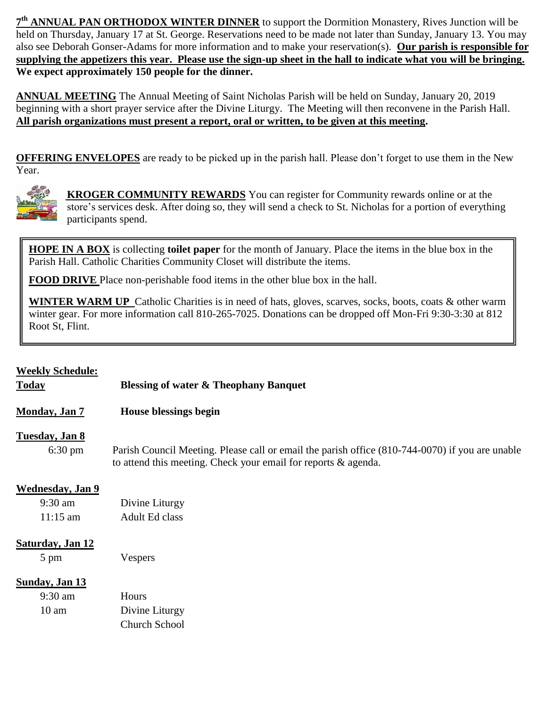**7 th ANNUAL PAN ORTHODOX WINTER DINNER** to support the Dormition Monastery, Rives Junction will be held on Thursday, January 17 at St. George. Reservations need to be made not later than Sunday, January 13. You may also see Deborah Gonser-Adams for more information and to make your reservation(s). **Our parish is responsible for supplying the appetizers this year. Please use the sign-up sheet in the hall to indicate what you will be bringing. We expect approximately 150 people for the dinner.**

**ANNUAL MEETING** The Annual Meeting of Saint Nicholas Parish will be held on Sunday, January 20, 2019 beginning with a short prayer service after the Divine Liturgy. The Meeting will then reconvene in the Parish Hall. **All parish organizations must present a report, oral or written, to be given at this meeting.** 

**OFFERING ENVELOPES** are ready to be picked up in the parish hall. Please don't forget to use them in the New Year.



 **KROGER COMMUNITY REWARDS** You can register for Community rewards online or at the store's services desk. After doing so, they will send a check to St. Nicholas for a portion of everything participants spend.

**HOPE IN A BOX** is collecting **toilet paper** for the month of January. Place the items in the blue box in the Parish Hall. Catholic Charities Community Closet will distribute the items.

**FOOD DRIVE** Place non-perishable food items in the other blue box in the hall.

**WINTER WARM UP** Catholic Charities is in need of hats, gloves, scarves, socks, boots, coats & other warm winter gear. For more information call 810-265-7025. Donations can be dropped off Mon-Fri 9:30-3:30 at 812 Root St, Flint.

| <b>Weekly Schedule:</b> |  |
|-------------------------|--|

 $\overline{a}$ 

**Today Blessing of water & Theophany Banquet**

**Monday, Jan 7 House blessings begin**

#### **Tuesday, Jan 8**

6:30 pm Parish Council Meeting. Please call or email the parish office (810-744-0070) if you are unable to attend this meeting. Check your email for reports & agenda.

#### **Wednesday, Jan 9**

| $9:30$ am  | Divine Liturgy |
|------------|----------------|
| $11:15$ am | Adult Ed class |

#### **Saturday, Jan 12**

5 pm Vespers

#### **Sunday, Jan 13**

| $9:30 \text{ am}$ | <b>Hours</b>         |
|-------------------|----------------------|
| $10 \text{ am}$   | Divine Liturgy       |
|                   | <b>Church School</b> |